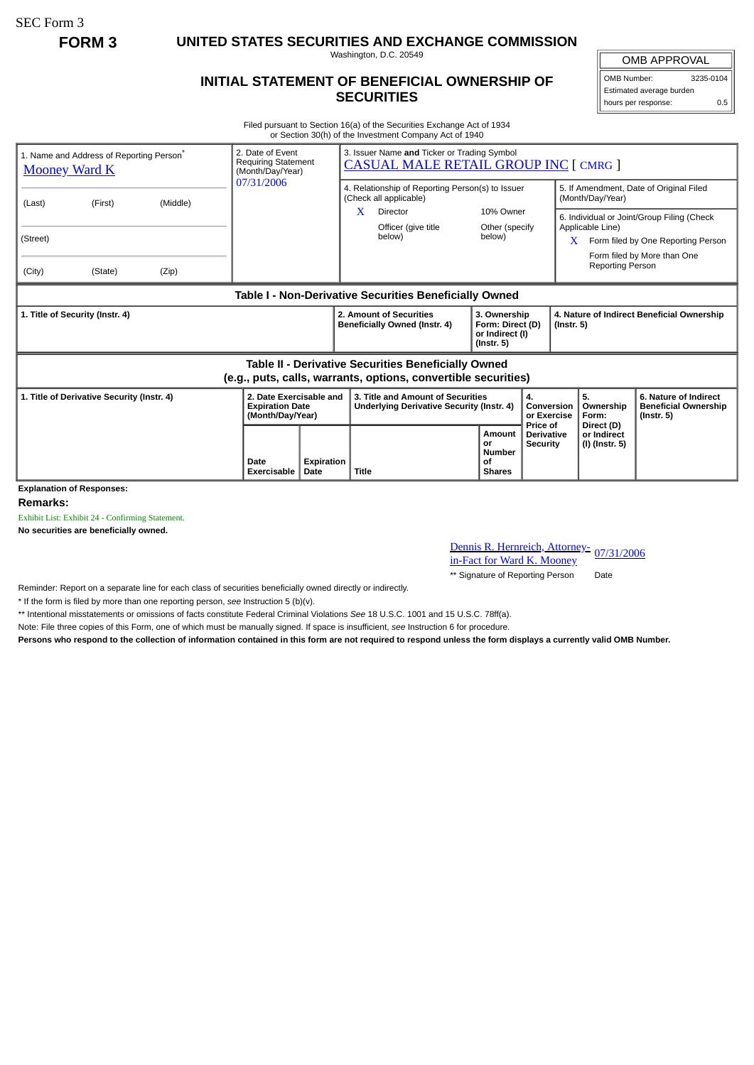SEC Form 3

**FORM 3 UNITED STATES SECURITIES AND EXCHANGE COMMISSION**

Washington, D.C. 20549

## **INITIAL STATEMENT OF BENEFICIAL OWNERSHIP OF SECURITIES**

OMB APPROVAL OMB Number: 3235-0104 Estimated average burden hours per response: 0.5

Filed pursuant to Section 16(a) of the Securities Exchange Act of 1934 or Section 30(h) of the Investment Company Act of 1940

| 1. Name and Address of Reporting Person <sup>®</sup><br><b>Mooney Ward K</b> | 2. Date of Event<br><b>Requiring Statement</b><br>(Month/Day/Year)    |                           | 3. Issuer Name and Ticker or Trading Symbol<br><b>CASUAL MALE RETAIL GROUP INC [ CMRG ]</b>                                  |                                                                         |                                                  |                                                                                                                                          |                                                                          |  |
|------------------------------------------------------------------------------|-----------------------------------------------------------------------|---------------------------|------------------------------------------------------------------------------------------------------------------------------|-------------------------------------------------------------------------|--------------------------------------------------|------------------------------------------------------------------------------------------------------------------------------------------|--------------------------------------------------------------------------|--|
| (Middle)<br>(First)<br>(Last)                                                | 07/31/2006                                                            |                           | 4. Relationship of Reporting Person(s) to Issuer<br>(Check all applicable)                                                   |                                                                         |                                                  | 5. If Amendment, Date of Original Filed<br>(Month/Day/Year)                                                                              |                                                                          |  |
|                                                                              |                                                                       |                           | x<br>Director<br>Officer (give title                                                                                         | 10% Owner<br>Other (specify                                             |                                                  | 6. Individual or Joint/Group Filing (Check<br>Applicable Line)<br>Form filed by One Reporting Person<br>X<br>Form filed by More than One |                                                                          |  |
| (Street)                                                                     |                                                                       |                           | below)                                                                                                                       | below)                                                                  |                                                  |                                                                                                                                          |                                                                          |  |
| (City)<br>(State)<br>(Zip)                                                   |                                                                       |                           |                                                                                                                              |                                                                         |                                                  | <b>Reporting Person</b>                                                                                                                  |                                                                          |  |
|                                                                              |                                                                       |                           | Table I - Non-Derivative Securities Beneficially Owned                                                                       |                                                                         |                                                  |                                                                                                                                          |                                                                          |  |
| 1. Title of Security (Instr. 4)                                              |                                                                       |                           | 2. Amount of Securities<br>Beneficially Owned (Instr. 4)                                                                     | 3. Ownership<br>Form: Direct (D)<br>or Indirect (I)<br>$($ lnstr. 5 $)$ |                                                  | 4. Nature of Indirect Beneficial Ownership<br>$($ lnstr. 5 $)$                                                                           |                                                                          |  |
|                                                                              |                                                                       |                           | <b>Table II - Derivative Securities Beneficially Owned</b><br>(e.g., puts, calls, warrants, options, convertible securities) |                                                                         |                                                  |                                                                                                                                          |                                                                          |  |
| 1. Title of Derivative Security (Instr. 4)                                   | 2. Date Exercisable and<br><b>Expiration Date</b><br>(Month/Day/Year) |                           | 3. Title and Amount of Securities<br>Underlying Derivative Security (Instr. 4)                                               |                                                                         | 4.<br>Conversion<br>or Exercise                  | 5.<br>Ownership<br>Form:                                                                                                                 | 6. Nature of Indirect<br><b>Beneficial Ownership</b><br>$($ lnstr. 5 $)$ |  |
| <b>Explanation of Responses:</b>                                             | Date<br><b>Exercisable</b>                                            | Expiration<br><b>Date</b> | <b>Title</b>                                                                                                                 | Amount<br>or<br><b>Number</b><br>οf<br><b>Shares</b>                    | Price of<br><b>Derivative</b><br><b>Security</b> | Direct (D)<br>or Indirect<br>(I) (Instr. 5)                                                                                              |                                                                          |  |

**Remarks:**

Exhibit List: Exhibit 24 - Confirming Statement.

**No securities are beneficially owned.**

Dennis R. Hernreich, Attorney-<br>in-Fact for Ward K. Mooney

\*\* Signature of Reporting Person Date

Reminder: Report on a separate line for each class of securities beneficially owned directly or indirectly.

\* If the form is filed by more than one reporting person, *see* Instruction 5 (b)(v).

\*\* Intentional misstatements or omissions of facts constitute Federal Criminal Violations *See* 18 U.S.C. 1001 and 15 U.S.C. 78ff(a).

Note: File three copies of this Form, one of which must be manually signed. If space is insufficient, *see* Instruction 6 for procedure.

**Persons who respond to the collection of information contained in this form are not required to respond unless the form displays a currently valid OMB Number.**